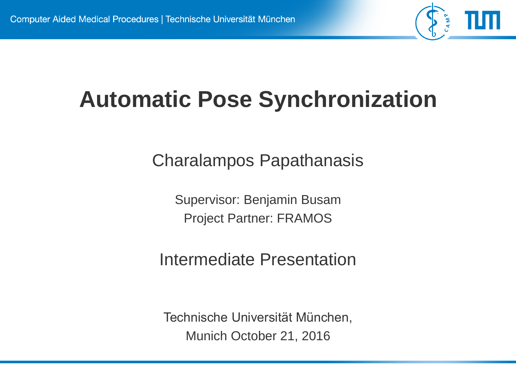

### **Automatic Pose Synchronization**

Charalampos Papathanasis

Supervisor: Benjamin Busam Project Partner: FRAMOS

Intermediate Presentation

Technische Universität München, Munich October 21, 2016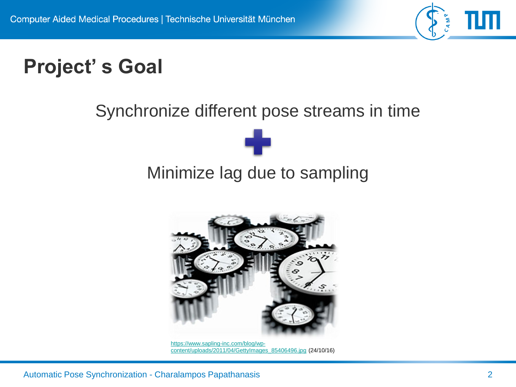

#### **Project' s Goal**

#### Synchronize different pose streams in time

# Minimize lag due to sampling



https://www.sapling-inc.com/blog/wp[content/uploads/2011/04/GettyImages\\_85406496.jpg](https://www.sapling-inc.com/blog/wp-content/uploads/2011/04/GettyImages_85406496.jpg) (24/10/16)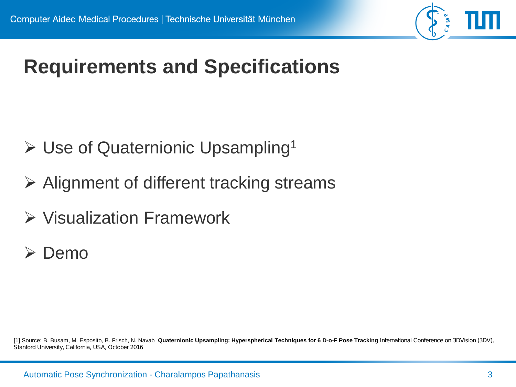

#### **Requirements and Specifications**

- $\triangleright$  Use of Quaternionic Upsampling<sup>1</sup>
- $\triangleright$  Alignment of different tracking streams
- $\triangleright$  Visualization Framework
- **≻** Demo

[1] Source: B. Busam, M. Esposito, B. Frisch, N. Navab **Quaternionic Upsampling: Hyperspherical Techniques for 6 D-o-F Pose Tracking** *International Conference on 3DVision (3DV), Stanford University, California, USA, October 2016*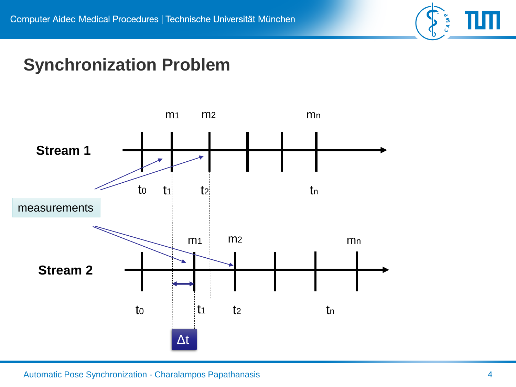

#### **Synchronization Problem**

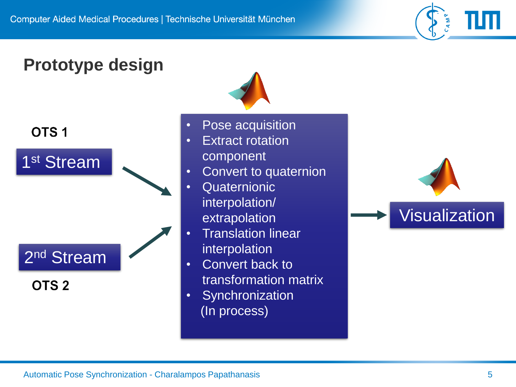

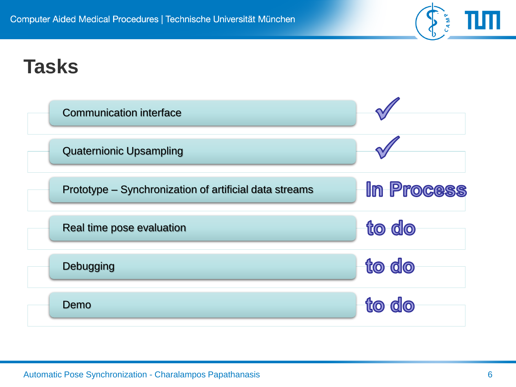#### **Tasks**



CAMP.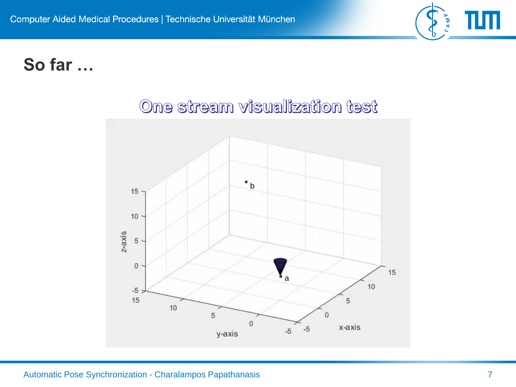

#### **So far …**



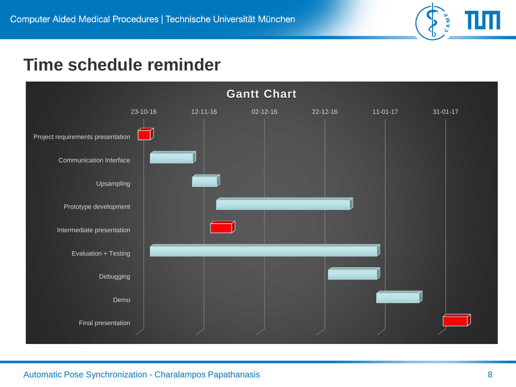

#### **Time schedule reminder**

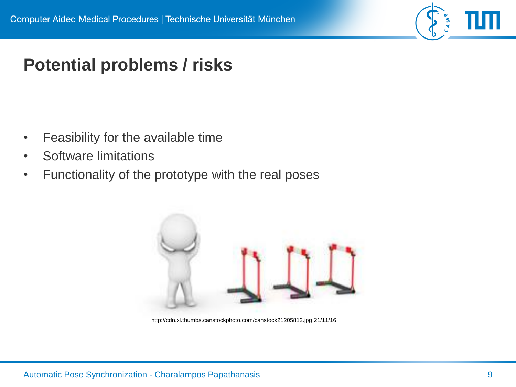

#### **Potential problems / risks**

- Feasibility for the available time
- Software limitations
- Functionality of the prototype with the real poses



http://cdn.xl.thumbs.canstockphoto.com/canstock21205812.jpg 21/11/16